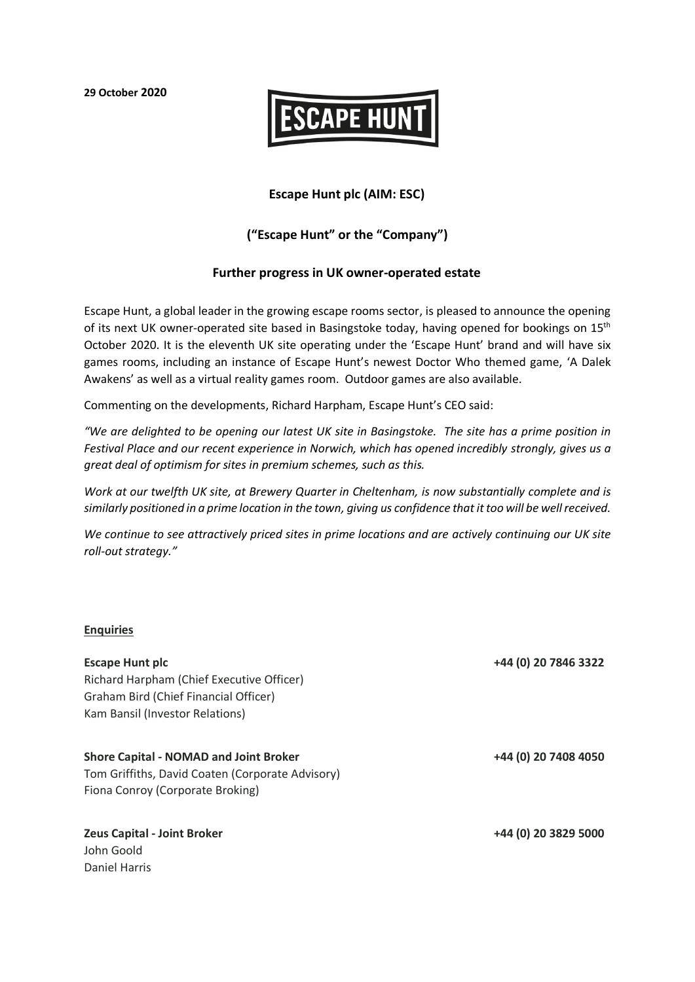**29 October 2020**



## **Escape Hunt plc (AIM: ESC)**

# **("Escape Hunt" or the "Company")**

### **Further progress in UK owner-operated estate**

Escape Hunt, a global leader in the growing escape rooms sector, is pleased to announce the opening of its next UK owner-operated site based in Basingstoke today, having opened for bookings on 15<sup>th</sup> October 2020. It is the eleventh UK site operating under the 'Escape Hunt' brand and will have six games rooms, including an instance of Escape Hunt's newest Doctor Who themed game, 'A Dalek Awakens' as well as a virtual reality games room. Outdoor games are also available.

Commenting on the developments, Richard Harpham, Escape Hunt's CEO said:

*"We are delighted to be opening our latest UK site in Basingstoke. The site has a prime position in Festival Place and our recent experience in Norwich, which has opened incredibly strongly, gives us a great deal of optimism for sites in premium schemes, such as this.* 

*Work at our twelfth UK site, at Brewery Quarter in Cheltenham, is now substantially complete and is similarly positioned in a prime location in the town, giving us confidence that it too will be well received.* 

*We continue to see attractively priced sites in prime locations and are actively continuing our UK site roll-out strategy."*

#### **Enquiries**

| <b>Escape Hunt plc</b><br>Richard Harpham (Chief Executive Officer)<br>Graham Bird (Chief Financial Officer) | +44 (0) 20 7846 3322 |
|--------------------------------------------------------------------------------------------------------------|----------------------|
| Kam Bansil (Investor Relations)                                                                              |                      |
| <b>Shore Capital - NOMAD and Joint Broker</b>                                                                | +44 (0) 20 7408 4050 |
| Tom Griffiths, David Coaten (Corporate Advisory)                                                             |                      |
| Fiona Conroy (Corporate Broking)                                                                             |                      |
| <b>Zeus Capital - Joint Broker</b>                                                                           | +44 (0) 20 3829 5000 |
| John Goold                                                                                                   |                      |
| Daniel Harris                                                                                                |                      |